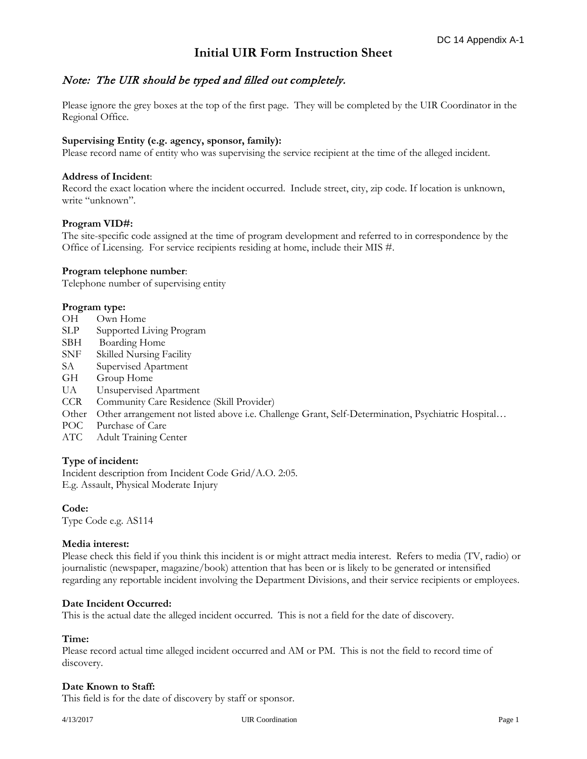# **Initial UIR Form Instruction Sheet**

## Note: The UIR should be typed and filled out completely.

Please ignore the grey boxes at the top of the first page. They will be completed by the UIR Coordinator in the Regional Office.

## **Supervising Entity (e.g. agency, sponsor, family):**

Please record name of entity who was supervising the service recipient at the time of the alleged incident.

## **Address of Incident**:

Record the exact location where the incident occurred. Include street, city, zip code. If location is unknown, write "unknown".

## **Program VID#:**

The site-specific code assigned at the time of program development and referred to in correspondence by the Office of Licensing. For service recipients residing at home, include their MIS #.

## **Program telephone number**:

Telephone number of supervising entity

## **Program type:**

- OH Own Home
- SLP Supported Living Program
- SBH Boarding Home
- SNF Skilled Nursing Facility
- SA Supervised Apartment
- GH Group Home
- UA Unsupervised Apartment
- CCR Community Care Residence (Skill Provider)
- Other Other arrangement not listed above i.e. Challenge Grant, Self-Determination, Psychiatric Hospital…
- POC Purchase of Care
- ATC Adult Training Center

#### **Type of incident:**

Incident description from Incident Code Grid/A.O. 2:05. E.g. Assault, Physical Moderate Injury

## **Code:**

Type Code e.g. AS114

#### **Media interest:**

Please check this field if you think this incident is or might attract media interest. Refers to media (TV, radio) or journalistic (newspaper, magazine/book) attention that has been or is likely to be generated or intensified regarding any reportable incident involving the Department Divisions, and their service recipients or employees.

#### **Date Incident Occurred:**

This is the actual date the alleged incident occurred. This is not a field for the date of discovery.

#### **Time:**

Please record actual time alleged incident occurred and AM or PM. This is not the field to record time of discovery.

#### **Date Known to Staff:**

This field is for the date of discovery by staff or sponsor.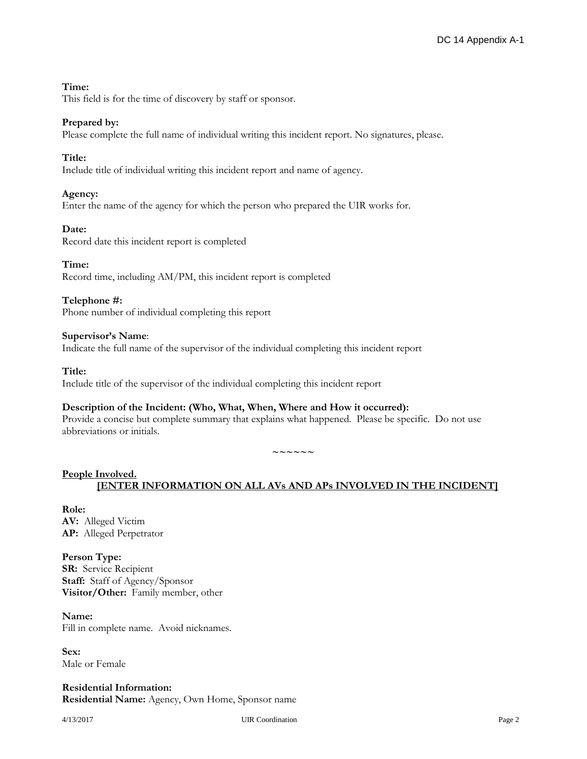## **Time:**

This field is for the time of discovery by staff or sponsor.

## **Prepared by:**

Please complete the full name of individual writing this incident report. No signatures, please.

## **Title:**

Include title of individual writing this incident report and name of agency.

## **Agency:**

Enter the name of the agency for which the person who prepared the UIR works for.

#### **Date:**

Record date this incident report is completed

## **Time:**

Record time, including AM/PM, this incident report is completed

## **Telephone #:**

Phone number of individual completing this report

#### **Supervisor's Name**:

Indicate the full name of the supervisor of the individual completing this incident report

#### **Title:**

Include title of the supervisor of the individual completing this incident report

#### **Description of the Incident: (Who, What, When, Where and How it occurred):**

Provide a concise but complete summary that explains what happened. Please be specific. Do not use abbreviations or initials.

**~~~~~~**

## **People Involved. [ENTER INFORMATION ON ALL AVs AND APs INVOLVED IN THE INCIDENT]**

## **Role: AV:** Alleged Victim **AP:** Alleged Perpetrator

**Person Type: SR:** Service Recipient **Staff:** Staff of Agency/Sponsor **Visitor/Other:** Family member, other

## **Name:**

Fill in complete name. Avoid nicknames.

**Sex:** Male or Female

**Residential Information: Residential Name:** Agency, Own Home, Sponsor name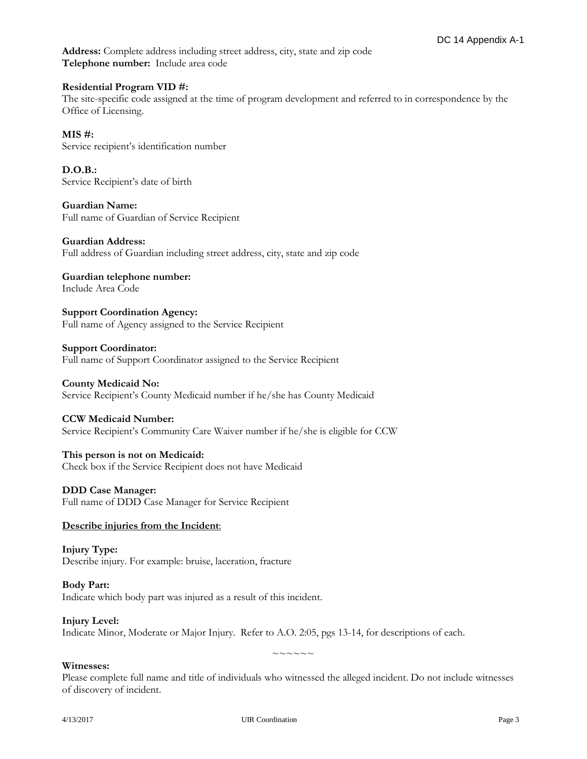**Address:** Complete address including street address, city, state and zip code **Telephone number:** Include area code

## **Residential Program VID #:**

The site-specific code assigned at the time of program development and referred to in correspondence by the Office of Licensing.

**MIS #:**  Service recipient's identification number

**D.O.B.:** Service Recipient's date of birth

**Guardian Name:** Full name of Guardian of Service Recipient

**Guardian Address:** Full address of Guardian including street address, city, state and zip code

**Guardian telephone number:** Include Area Code

**Support Coordination Agency:** Full name of Agency assigned to the Service Recipient

#### **Support Coordinator:**

Full name of Support Coordinator assigned to the Service Recipient

#### **County Medicaid No:**

Service Recipient's County Medicaid number if he/she has County Medicaid

#### **CCW Medicaid Number:**

Service Recipient's Community Care Waiver number if he/she is eligible for CCW

#### **This person is not on Medicaid:**

Check box if the Service Recipient does not have Medicaid

#### **DDD Case Manager:**

Full name of DDD Case Manager for Service Recipient

#### **Describe injuries from the Incident**:

**Injury Type:** Describe injury. For example: bruise, laceration, fracture

#### **Body Part:** Indicate which body part was injured as a result of this incident.

#### **Injury Level:**

Indicate Minor, Moderate or Major Injury. Refer to A.O. 2:05, pgs 13-14, for descriptions of each.

## **Witnesses:**

Please complete full name and title of individuals who witnessed the alleged incident. Do not include witnesses of discovery of incident.

 $\sim\sim\sim\sim\sim\sim$